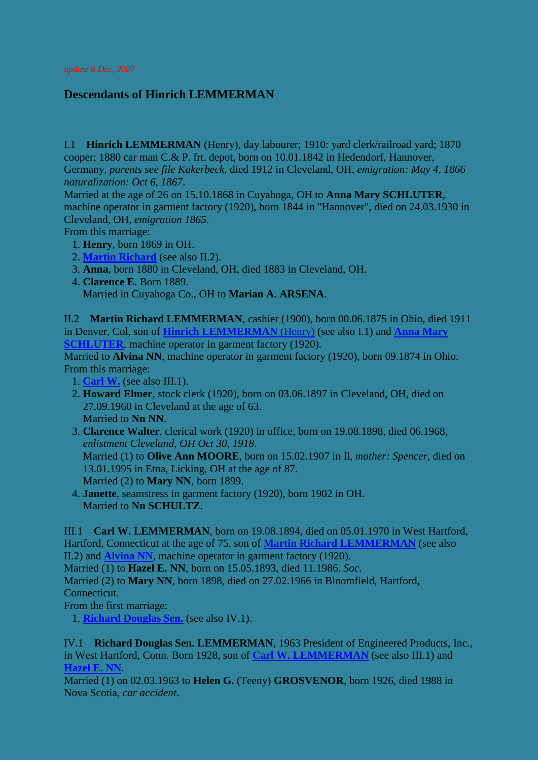*update 6 Dec, 2007*

## **Descendants of Hinrich LEMMERMAN**

<span id="page-0-1"></span>I.1 **Hinrich LEMMERMAN** (Henry), day labourer; 1910: yard clerk/railroad yard; 1870 cooper; 1880 car man C.& P. frt. depot, born on 10.01.1842 in Hedendorf, Hannover, Germany, *parents see file Kakerbeck*, died 1912 in Cleveland, OH, *emigration: May 4, 1866 naturalization: Oct 6, 1867*.

Married at the age of 26 on 15.10.1868 in Cuyahoga, OH to **Anna Mary SCHLUTER**, machine operator in garment factory (1920), born 1844 in "Hannover", died on 24.03.1930 in Cleveland, OH, *emigration 1865*.

From this marriage:

- <span id="page-0-2"></span>1. **Henry**, born 1869 in OH.
- 2. **[Martin Richard](#page-0-0)** (see also II.2).
- 3. **Anna**, born 1880 in Cleveland, OH, died 1883 in Cleveland, OH.
- 4. **Clarence E.** Born 1889. Married in Cuyahoga Co., OH to **Marian A. ARSENA**.

<span id="page-0-0"></span>II.2 **Martin Richard LEMMERMAN**, cashier (1900), born 00.06.1875 in Ohio, died 1911 in Denver, Col, son of **[Hinrich LEMMERMAN](#page-0-1)** (Henry) (see also I.1) and **[Anna Mary](#page-0-2)  [SCHLUTER](#page-0-2)**, machine operator in garment factory (1920).

<span id="page-0-4"></span>Married to **Alvina NN**, machine operator in garment factory (1920), born 09.1874 in Ohio. From this marriage:

- 1. **[Carl W.](#page-0-3)** (see also III.1).
- 2. **Howard Elmer**, stock clerk (1920), born on 03.06.1897 in Cleveland, OH, died on 27.09.1960 in Cleveland at the age of 63. Married to **Nn NN**.
- 3. **Clarence Walter**, clerical work (1920) in office, born on 19.08.1898, died 06.1968, *enlistment Cleveland, OH Oct 30, 1918*. Married (1) to **Olive Ann MOORE**, born on 15.02.1907 in Il, *mother: Spencer*, died on 13.01.1995 in Etna, Licking, OH at the age of 87. Married (2) to **Mary NN**, born 1899.
- 4. **Janette**, seamstress in garment factory (1920), born 1902 in OH. Married to **Nn SCHULTZ**.

<span id="page-0-3"></span>III.1 **Carl W. LEMMERMAN**, born on 19.08.1894, died on 05.01.1970 in West Hartford, Hartford, Connecticut at the age of 75, son of **[Martin Richard LEMMERMAN](#page-0-0)** (see also II.2) and **[Alvina NN](#page-0-4)**, machine operator in garment factory (1920).

<span id="page-0-6"></span>Married (1) to **Hazel E. NN**, born on 15.05.1893, died 11.1986. *Soc*.

Married (2) to **Mary NN**, born 1898, died on 27.02.1966 in Bloomfield, Hartford, Connecticut.

From the first marriage:

1. **[Richard Douglas Sen.](#page-0-5)** (see also IV.1).

<span id="page-0-5"></span>IV.1 **Richard Douglas Sen. LEMMERMAN**, 1963 President of Engineered Products, Inc., in West Hartford, Conn. Born 1928, son of **[Carl W. LEMMERMAN](#page-0-3)** (see also III.1) and **[Hazel E. NN](#page-0-6)**.

Married (1) on 02.03.1963 to **Helen G.** (Teeny) **GROSVENOR**, born 1926, died 1988 in Nova Scotia, *car accident*.